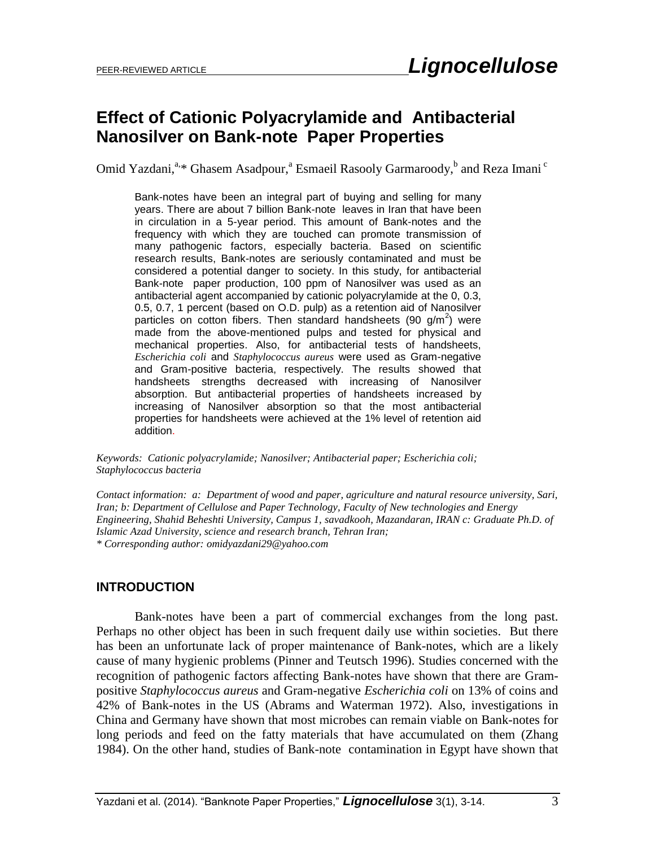# **Effect of Cationic Polyacrylamide and Antibacterial Nanosilver on Bank-note Paper Properties**

Omid Yazdani,<sup>a,\*</sup> Ghasem Asadpour,<sup>a</sup> Esmaeil Rasooly Garmaroody,<sup>b</sup> and Reza Imani<sup>c</sup>

Bank-notes have been an integral part of buying and selling for many years. There are about 7 billion Bank-note leaves in Iran that have been in circulation in a 5-year period. This amount of Bank-notes and the frequency with which they are touched can promote transmission of many pathogenic factors, especially bacteria. Based on scientific research results, Bank-notes are seriously contaminated and must be considered a potential danger to society. In this study, for antibacterial Bank-note paper production, 100 ppm of Nanosilver was used as an antibacterial agent accompanied by cationic polyacrylamide at the 0, 0.3, 0.5, 0.7, 1 percent (based on O.D. pulp) as a retention aid of Nanosilver particles on cotton fibers. Then standard handsheets (90 g/m<sup>2</sup>) were made from the above-mentioned pulps and tested for physical and mechanical properties. Also, for antibacterial tests of handsheets, *Escherichia coli* and *Staphylococcus aureus* were used as Gram-negative and Gram-positive bacteria, respectively. The results showed that handsheets strengths decreased with increasing of Nanosilver absorption. But antibacterial properties of handsheets increased by increasing of Nanosilver absorption so that the most antibacterial properties for handsheets were achieved at the 1% level of retention aid addition.

*Keywords: Cationic polyacrylamide; Nanosilver; Antibacterial paper; Escherichia coli; Staphylococcus bacteria*

*Contact information: a: Department of wood and paper, agriculture and natural resource university, Sari, Iran; b: Department of Cellulose and Paper Technology, Faculty of New technologies and Energy Engineering, Shahid Beheshti University, Campus 1, savadkooh, Mazandaran, IRAN c: Graduate Ph.D. of Islamic Azad University, science and research branch, Tehran Iran; \* Corresponding author: [omidyazdani29@yahoo.com](mailto:omidyazdani29@yahoo.com)*

#### **INTRODUCTION**

Bank-notes have been a part of commercial exchanges from the long past. Perhaps no other object has been in such frequent daily use within societies. But there has been an unfortunate lack of proper maintenance of Bank-notes, which are a likely cause of many hygienic problems (Pinner and Teutsch 1996). Studies concerned with the recognition of pathogenic factors affecting Bank-notes have shown that there are Grampositive *Staphylococcus aureus* and Gram-negative *Escherichia coli* on 13% of coins and 42% of Bank-notes in the US (Abrams and Waterman 1972). Also, investigations in China and Germany have shown that most microbes can remain viable on Bank-notes for long periods and feed on the fatty materials that have accumulated on them (Zhang 1984). On the other hand, studies of Bank-note contamination in Egypt have shown that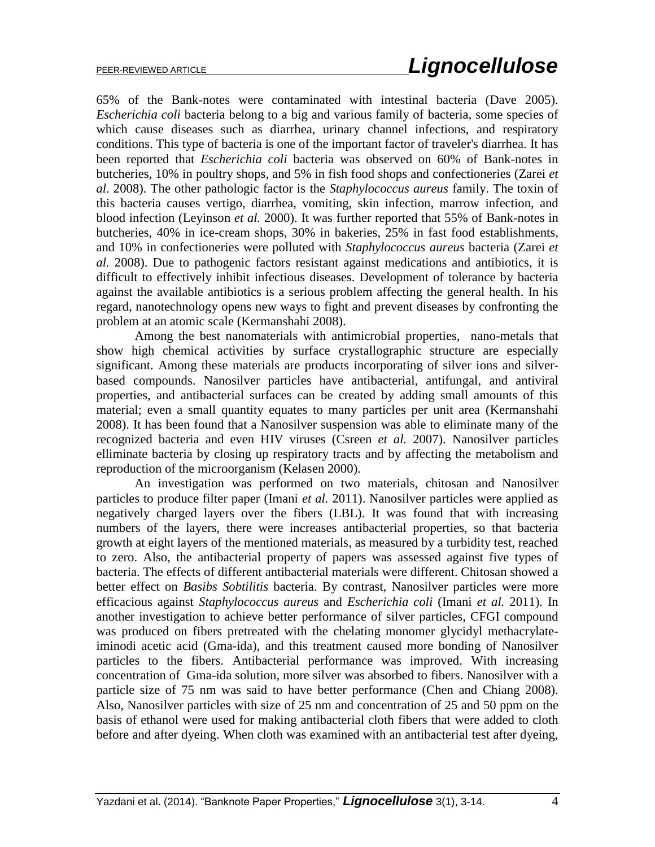65% of the Bank-notes were contaminated with intestinal bacteria (Dave 2005). *Escherichia coli* bacteria belong to a big and various family of bacteria, some species of which cause diseases such as diarrhea, urinary channel infections, and respiratory conditions. This type of bacteria is one of the important factor of traveler's diarrhea. It has been reported that *Escherichia coli* bacteria was observed on 60% of Bank-notes in butcheries, 10% in poultry shops, and 5% in fish food shops and confectioneries (Zarei *et al*. 2008). The other pathologic factor is the *Staphylococcus aureus* family. The toxin of this bacteria causes vertigo, diarrhea, vomiting, skin infection, marrow infection, and blood infection (Leyinson *et al.* 2000). It was further reported that 55% of Bank-notes in butcheries, 40% in ice-cream shops, 30% in bakeries, 25% in fast food establishments, and 10% in confectioneries were polluted with *Staphylococcus aureus* bacteria (Zarei *et al.* 2008). Due to pathogenic factors resistant against medications and antibiotics, it is difficult to effectively inhibit infectious diseases. Development of tolerance by bacteria against the available antibiotics is a serious problem affecting the general health. In his regard, nanotechnology opens new ways to fight and prevent diseases by confronting the problem at an atomic scale (Kermanshahi 2008).

Among the best nanomaterials with antimicrobial properties, nano-metals that show high chemical activities by surface crystallographic structure are especially significant. Among these materials are products incorporating of silver ions and silverbased compounds. Nanosilver particles have antibacterial, antifungal, and antiviral properties, and antibacterial surfaces can be created by adding small amounts of this material; even a small quantity equates to many particles per unit area (Kermanshahi 2008). It has been found that a Nanosilver suspension was able to eliminate many of the recognized bacteria and even HIV viruses (Csreen *et al.* 2007). Nanosilver particles elliminate bacteria by closing up respiratory tracts and by affecting the metabolism and reproduction of the microorganism (Kelasen 2000).

An investigation was performed on two materials, chitosan and Nanosilver particles to produce filter paper (Imani *et al.* 2011). Nanosilver particles were applied as negatively charged layers over the fibers (LBL). It was found that with increasing numbers of the layers, there were increases antibacterial properties, so that bacteria growth at eight layers of the mentioned materials, as measured by a turbidity test, reached to zero. Also, the antibacterial property of papers was assessed against five types of bacteria. The effects of different antibacterial materials were different. Chitosan showed a better effect on *Basibs Sobtilitis* bacteria. By contrast, Nanosilver particles were more efficacious against *Staphylococcus aureus* and *Escherichia coli* (Imani *et al.* 2011). In another investigation to achieve better performance of silver particles, CFGI compound was produced on fibers pretreated with the chelating monomer glycidyl methacrylateiminodi acetic acid (Gma-ida), and this treatment caused more bonding of Nanosilver particles to the fibers. Antibacterial performance was improved. With increasing concentration of Gma-ida solution, more silver was absorbed to fibers. Nanosilver with a particle size of 75 nm was said to have better performance (Chen and Chiang 2008). Also, Nanosilver particles with size of 25 nm and concentration of 25 and 50 ppm on the basis of ethanol were used for making antibacterial cloth fibers that were added to cloth before and after dyeing. When cloth was examined with an antibacterial test after dyeing,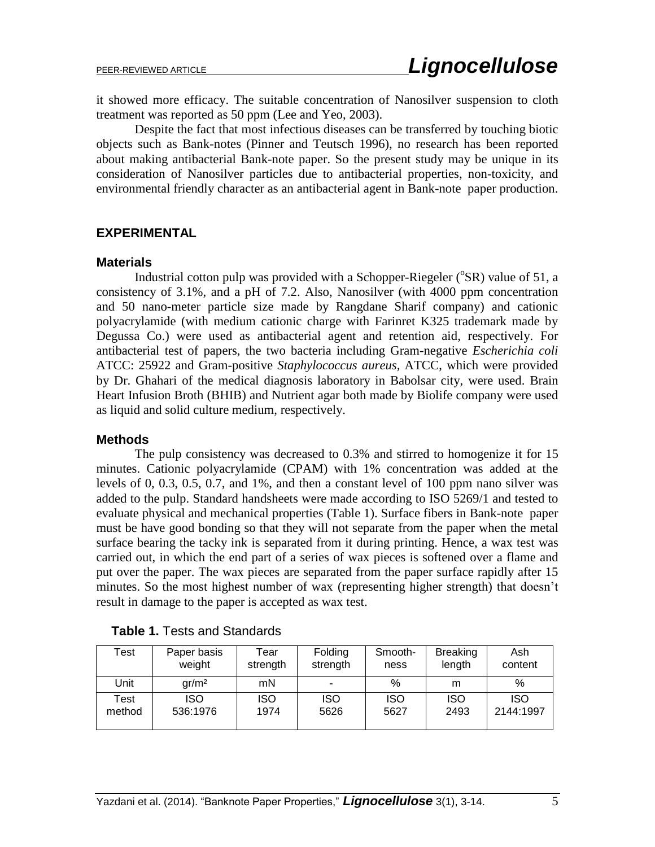it showed more efficacy. The suitable concentration of Nanosilver suspension to cloth treatment was reported as 50 ppm (Lee and Yeo, 2003).

Despite the fact that most infectious diseases can be transferred by touching biotic objects such as Bank-notes (Pinner and Teutsch 1996), no research has been reported about making antibacterial Bank-note paper. So the present study may be unique in its consideration of Nanosilver particles due to antibacterial properties, non-toxicity, and environmental friendly character as an antibacterial agent in Bank-note paper production.

#### **EXPERIMENTAL**

#### **Materials**

Industrial cotton pulp was provided with a Schopper-Riegeler ( ${}^{\circ}$ SR) value of 51, a consistency of 3.1%, and a pH of 7.2. Also, Nanosilver (with 4000 ppm concentration and 50 nano-meter particle size made by Rangdane Sharif company) and cationic polyacrylamide (with medium cationic charge with Farinret K325 trademark made by Degussa Co.) were used as antibacterial agent and retention aid, respectively. For antibacterial test of papers, the two bacteria including Gram-negative *Escherichia coli* ATCC: 25922 and Gram-positive *Staphylococcus aureus,* ATCC, which were provided by Dr. Ghahari of the medical diagnosis laboratory in Babolsar city, were used. Brain Heart Infusion Broth (BHIB) and Nutrient agar both made by Biolife company were used as liquid and solid culture medium, respectively.

#### **Methods**

The pulp consistency was decreased to 0.3% and stirred to homogenize it for 15 minutes. Cationic polyacrylamide (CPAM) with 1% concentration was added at the levels of 0, 0.3, 0.5, 0.7, and 1%, and then a constant level of 100 ppm nano silver was added to the pulp. Standard handsheets were made according to ISO 5269/1 and tested to evaluate physical and mechanical properties (Table 1). Surface fibers in Bank-note paper must be have good bonding so that they will not separate from the paper when the metal surface bearing the tacky ink is separated from it during printing. Hence, a wax test was carried out, in which the end part of a series of wax pieces is softened over a flame and put over the paper. The wax pieces are separated from the paper surface rapidly after 15 minutes. So the most highest number of wax (representing higher strength) that doesn't result in damage to the paper is accepted as wax test.

| Test   | Paper basis      | Tear     | Folding                  | Smooth-    | <b>Breaking</b> | Ash        |
|--------|------------------|----------|--------------------------|------------|-----------------|------------|
|        | weight           | strength | strength                 | ness       | length          | content    |
| Unit   | $\frac{ar}{m^2}$ | mN       | $\overline{\phantom{0}}$ | %          | m               | %          |
| Test   | <b>ISO</b>       | iso      | <b>ISO</b>               | <b>ISO</b> | <b>ISO</b>      | <b>ISO</b> |
| method | 536:1976         | 1974     | 5626                     | 5627       | 2493            | 2144:1997  |

| <b>Table 1. Tests and Standards</b> |  |  |  |  |  |
|-------------------------------------|--|--|--|--|--|
|-------------------------------------|--|--|--|--|--|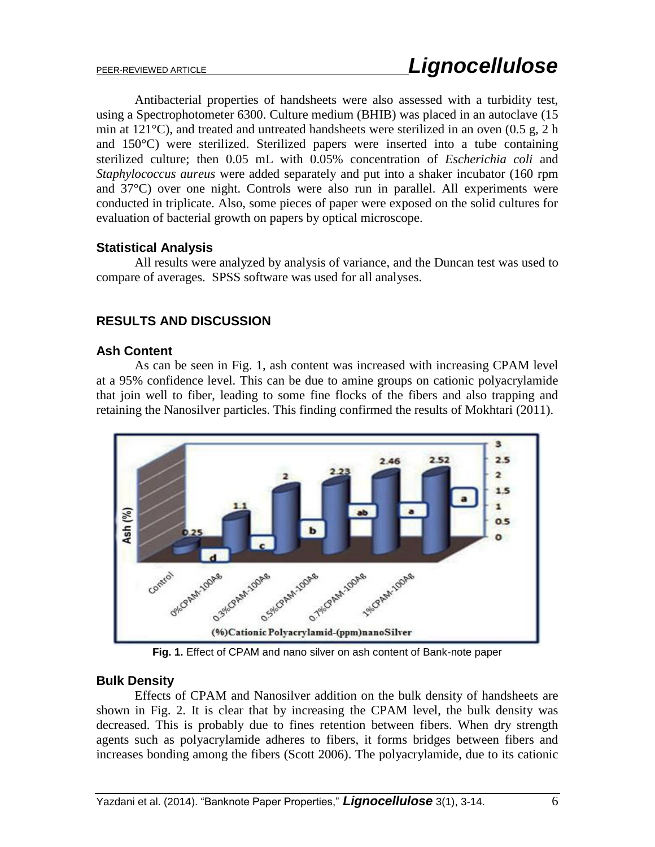Antibacterial properties of handsheets were also assessed with a turbidity test, using a Spectrophotometer 6300. Culture medium (BHIB) was placed in an autoclave (15 min at 121°C), and treated and untreated handsheets were sterilized in an oven (0.5 g, 2 h and 150°C) were sterilized. Sterilized papers were inserted into a tube containing sterilized culture; then 0.05 mL with 0.05% concentration of *Escherichia coli* and *Staphylococcus aureus* were added separately and put into a shaker incubator (160 rpm and 37°C) over one night. Controls were also run in parallel. All experiments were conducted in triplicate. Also, some pieces of paper were exposed on the solid cultures for evaluation of bacterial growth on papers by optical microscope.

## **Statistical Analysis**

All results were analyzed by analysis of variance, and the Duncan test was used to compare of averages. SPSS software was used for all analyses.

## **RESULTS AND DISCUSSION**

#### **Ash Content**

As can be seen in Fig. 1, ash content was increased with increasing CPAM level at a 95% confidence level. This can be due to amine groups on cationic polyacrylamide that join well to fiber, leading to some fine flocks of the fibers and also trapping and retaining the Nanosilver particles. This finding confirmed the results of Mokhtari (2011).



**Fig. 1.** Effect of CPAM and nano silver on ash content of Bank-note paper

#### **Bulk Density**

Effects of CPAM and Nanosilver addition on the bulk density of handsheets are shown in Fig. 2. It is clear that by increasing the CPAM level, the bulk density was decreased. This is probably due to fines retention between fibers. When dry strength agents such as polyacrylamide adheres to fibers, it forms bridges between fibers and increases bonding among the fibers (Scott 2006). The polyacrylamide, due to its cationic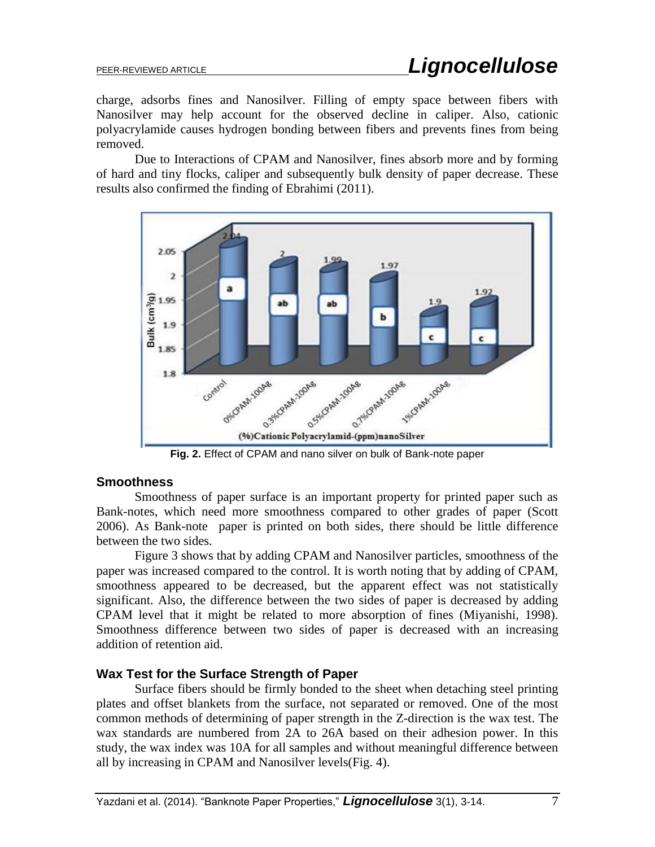charge, adsorbs fines and Nanosilver. Filling of empty space between fibers with Nanosilver may help account for the observed decline in caliper. Also, cationic polyacrylamide causes hydrogen bonding between fibers and prevents fines from being removed.

Due to Interactions of CPAM and Nanosilver, fines absorb more and by forming of hard and tiny flocks, caliper and subsequently bulk density of paper decrease. These results also confirmed the finding of Ebrahimi (2011).



**Fig. 2.** Effect of CPAM and nano silver on bulk of Bank-note paper

## **Smoothness**

Smoothness of paper surface is an important property for printed paper such as Bank-notes, which need more smoothness compared to other grades of paper (Scott 2006). As Bank-note paper is printed on both sides, there should be little difference between the two sides.

Figure 3 shows that by adding CPAM and Nanosilver particles, smoothness of the paper was increased compared to the control. It is worth noting that by adding of CPAM, smoothness appeared to be decreased, but the apparent effect was not statistically significant. Also, the difference between the two sides of paper is decreased by adding CPAM level that it might be related to more absorption of fines (Miyanishi, 1998). Smoothness difference between two sides of paper is decreased with an increasing addition of retention aid.

## **Wax Test for the Surface Strength of Paper**

Surface fibers should be firmly bonded to the sheet when detaching steel printing plates and offset blankets from the surface, not separated or removed. One of the most common methods of determining of paper strength in the Z-direction is the wax test. The wax standards are numbered from 2A to 26A based on their adhesion power. In this study, the wax index was 10A for all samples and without meaningful difference between all by increasing in CPAM and Nanosilver levels(Fig. 4).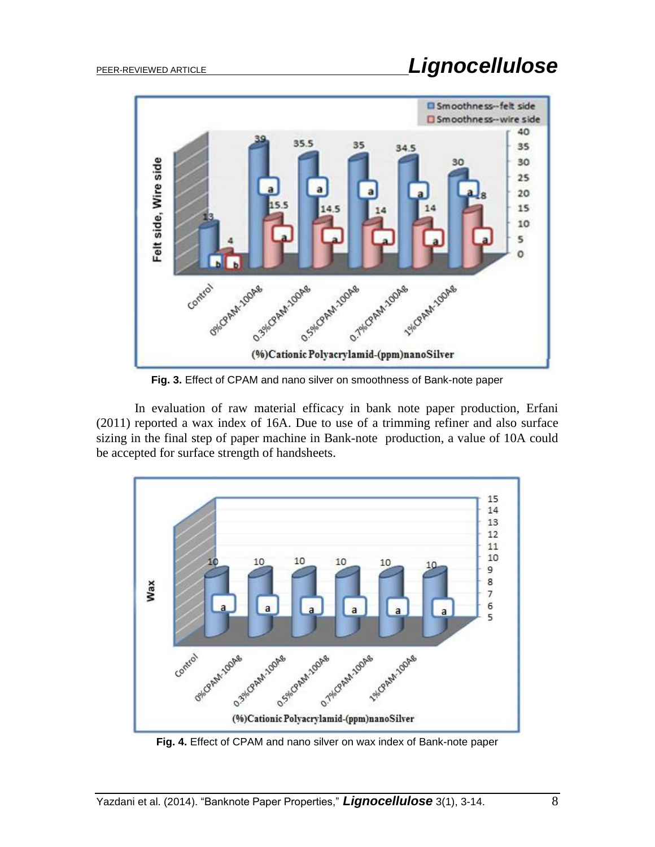

**Fig. 3.** Effect of CPAM and nano silver on smoothness of Bank-note paper

In evaluation of raw material efficacy in bank note paper production, Erfani (2011) reported a wax index of 16A. Due to use of a trimming refiner and also surface sizing in the final step of paper machine in Bank-note production, a value of 10A could be accepted for surface strength of handsheets.



**Fig. 4.** Effect of CPAM and nano silver on wax index of Bank-note paper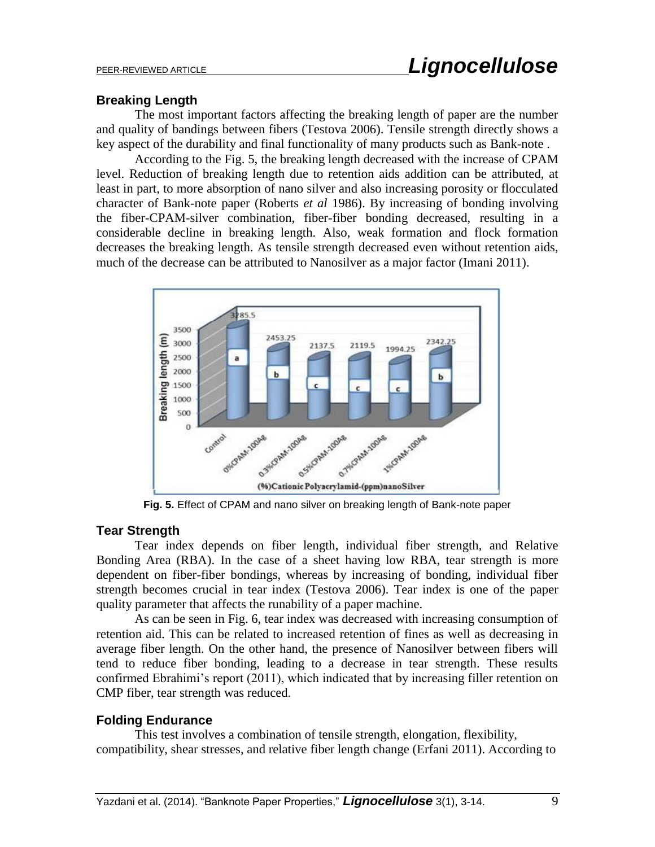### **Breaking Length**

The most important factors affecting the breaking length of paper are the number and quality of bandings between fibers (Testova 2006). Tensile strength directly shows a key aspect of the durability and final functionality of many products such as Bank-note .

According to the Fig. 5, the breaking length decreased with the increase of CPAM level. Reduction of breaking length due to retention aids addition can be attributed, at least in part, to more absorption of nano silver and also increasing porosity or flocculated character of Bank-note paper (Roberts *et al* 1986). By increasing of bonding involving the fiber-CPAM-silver combination, fiber-fiber bonding decreased, resulting in a considerable decline in breaking length. Also, weak formation and flock formation decreases the breaking length. As tensile strength decreased even without retention aids, much of the decrease can be attributed to Nanosilver as a major factor (Imani 2011).



**Fig. 5.** Effect of CPAM and nano silver on breaking length of Bank-note paper

## **Tear Strength**

Tear index depends on fiber length, individual fiber strength, and Relative Bonding Area (RBA). In the case of a sheet having low RBA, tear strength is more dependent on fiber-fiber bondings, whereas by increasing of bonding, individual fiber strength becomes crucial in tear index (Testova 2006). Tear index is one of the paper quality parameter that affects the runability of a paper machine.

As can be seen in Fig. 6, tear index was decreased with increasing consumption of retention aid. This can be related to increased retention of fines as well as decreasing in average fiber length. On the other hand, the presence of Nanosilver between fibers will tend to reduce fiber bonding, leading to a decrease in tear strength. These results confirmed Ebrahimi's report (2011), which indicated that by increasing filler retention on CMP fiber, tear strength was reduced.

## **Folding Endurance**

This test involves a combination of tensile strength, elongation, flexibility, compatibility, shear stresses, and relative fiber length change (Erfani 2011). According to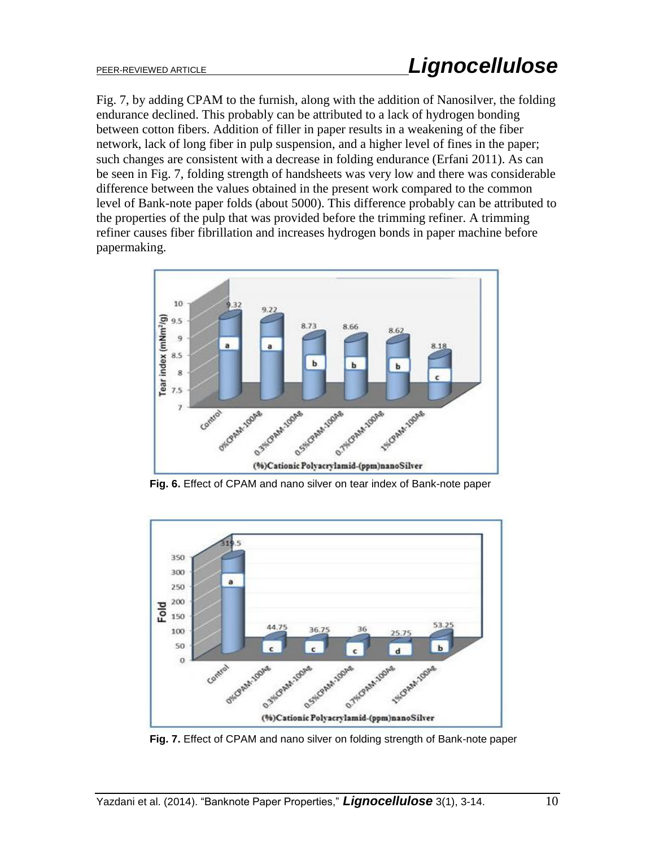Fig. 7, by adding CPAM to the furnish, along with the addition of Nanosilver, the folding endurance declined. This probably can be attributed to a lack of hydrogen bonding between cotton fibers. Addition of filler in paper results in a weakening of the fiber network, lack of long fiber in pulp suspension, and a higher level of fines in the paper; such changes are consistent with a decrease in folding endurance (Erfani 2011). As can be seen in Fig. 7, folding strength of handsheets was very low and there was considerable difference between the values obtained in the present work compared to the common level of Bank-note paper folds (about 5000). This difference probably can be attributed to the properties of the pulp that was provided before the trimming refiner. A trimming refiner causes fiber fibrillation and increases hydrogen bonds in paper machine before papermaking.



 **Fig. 6.** Effect of CPAM and nano silver on tear index of Bank-note paper



 **Fig. 7.** Effect of CPAM and nano silver on folding strength of Bank-note paper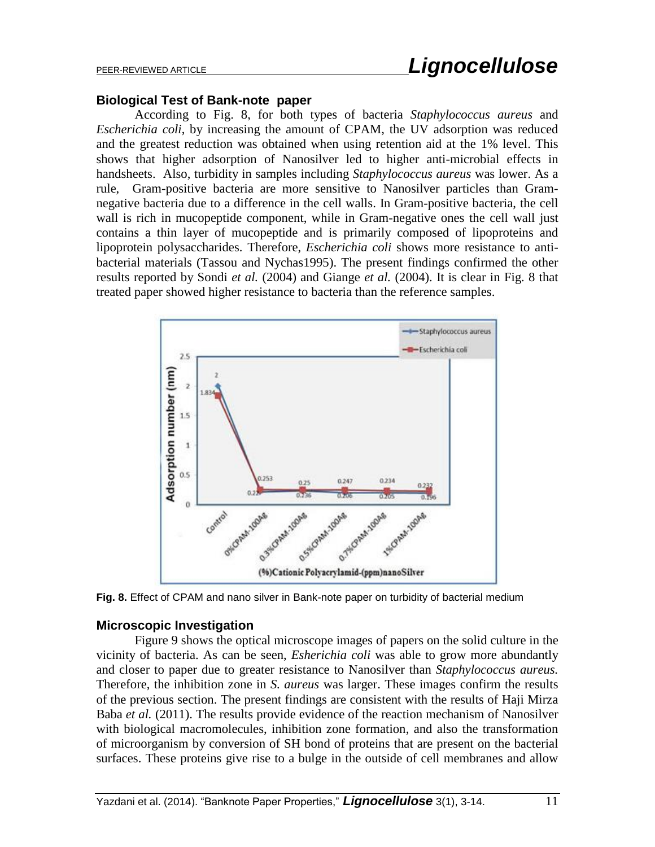#### **Biological Test of Bank-note paper**

According to Fig. 8, for both types of bacteria *Staphylococcus aureus* and *Escherichia coli*, by increasing the amount of CPAM, the UV adsorption was reduced and the greatest reduction was obtained when using retention aid at the 1% level. This shows that higher adsorption of Nanosilver led to higher anti-microbial effects in handsheets. Also, turbidity in samples including *Staphylococcus aureus* was lower. As a rule, Gram-positive bacteria are more sensitive to Nanosilver particles than Gramnegative bacteria due to a difference in the cell walls. In Gram-positive bacteria, the cell wall is rich in mucopeptide component, while in Gram-negative ones the cell wall just contains a thin layer of mucopeptide and is primarily composed of lipoproteins and lipoprotein polysaccharides. Therefore, *Escherichia coli* shows more resistance to antibacterial materials (Tassou and Nychas1995). The present findings confirmed the other results reported by Sondi *et al.* (2004) and Giange *et al.* (2004). It is clear in Fig. 8 that treated paper showed higher resistance to bacteria than the reference samples.



**Fig. 8.** Effect of CPAM and nano silver in Bank-note paper on turbidity of bacterial medium

#### **Microscopic Investigation**

Figure 9 shows the optical microscope images of papers on the solid culture in the vicinity of bacteria. As can be seen, *Esherichia coli* was able to grow more abundantly and closer to paper due to greater resistance to Nanosilver than *Staphylococcus aureus.* Therefore, the inhibition zone in *S. aureus* was larger. These images confirm the results of the previous section. The present findings are consistent with the results of Haji Mirza Baba *et al.* (2011). The results provide evidence of the reaction mechanism of Nanosilver with biological macromolecules, inhibition zone formation, and also the transformation of microorganism by conversion of SH bond of proteins that are present on the bacterial surfaces. These proteins give rise to a bulge in the outside of cell membranes and allow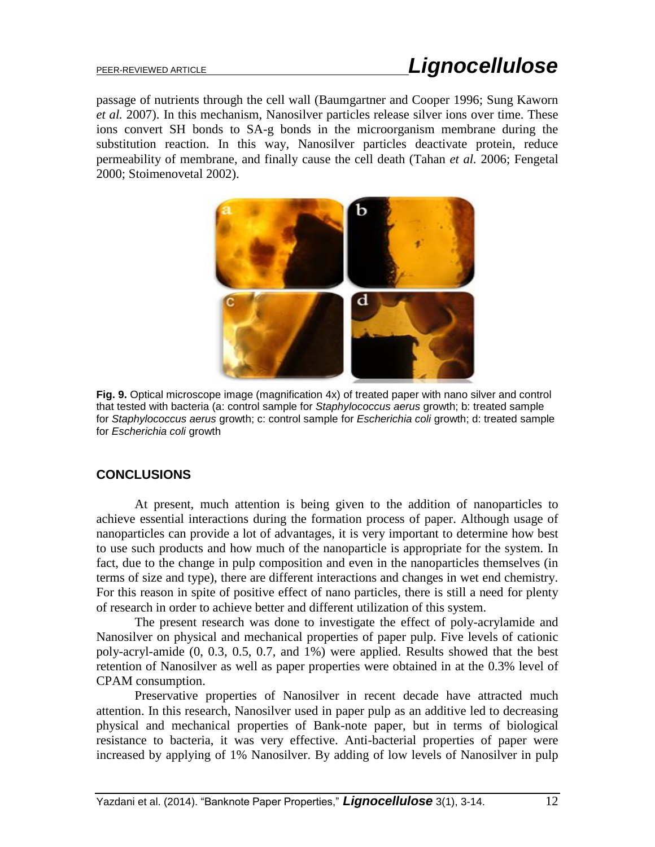passage of nutrients through the cell wall (Baumgartner and Cooper 1996; Sung Kaworn *et al.* 2007). In this mechanism, Nanosilver particles release silver ions over time. These ions convert SH bonds to SA-g bonds in the microorganism membrane during the substitution reaction. In this way, Nanosilver particles deactivate protein, reduce permeability of membrane, and finally cause the cell death (Tahan *et al.* 2006; Fengetal 2000; Stoimenovetal 2002).



**Fig. 9.** Optical microscope image (magnification 4x) of treated paper with nano silver and control that tested with bacteria (a: control sample for *Staphylococcus aerus* growth; b: treated sample for *Staphylococcus aerus* growth; c: control sample for *Escherichia coli* growth; d: treated sample for *Escherichia coli* growth

## **CONCLUSIONS**

At present, much attention is being given to the addition of nanoparticles to achieve essential interactions during the formation process of paper. Although usage of nanoparticles can provide a lot of advantages, it is very important to determine how best to use such products and how much of the nanoparticle is appropriate for the system. In fact, due to the change in pulp composition and even in the nanoparticles themselves (in terms of size and type), there are different interactions and changes in wet end chemistry. For this reason in spite of positive effect of nano particles, there is still a need for plenty of research in order to achieve better and different utilization of this system.

The present research was done to investigate the effect of poly-acrylamide and Nanosilver on physical and mechanical properties of paper pulp. Five levels of cationic poly-acryl-amide (0, 0.3, 0.5, 0.7, and 1%) were applied. Results showed that the best retention of Nanosilver as well as paper properties were obtained in at the 0.3% level of CPAM consumption.

Preservative properties of Nanosilver in recent decade have attracted much attention. In this research, Nanosilver used in paper pulp as an additive led to decreasing physical and mechanical properties of Bank-note paper, but in terms of biological resistance to bacteria, it was very effective. Anti-bacterial properties of paper were increased by applying of 1% Nanosilver. By adding of low levels of Nanosilver in pulp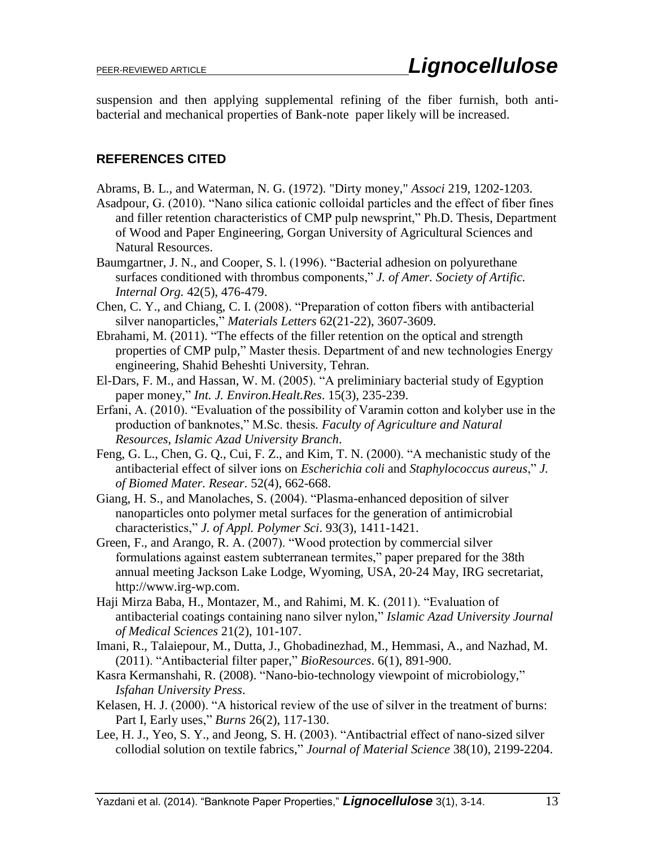suspension and then applying supplemental refining of the fiber furnish, both antibacterial and mechanical properties of Bank-note paper likely will be increased.

## **REFERENCES CITED**

Abrams, B. L., and Waterman, N. G. (1972). "Dirty money," *Associ* 219, 1202-1203.

- Asadpour, G. (2010). "Nano silica cationic colloidal particles and the effect of fiber fines and filler retention characteristics of CMP pulp newsprint," Ph.D. Thesis, Department of Wood and Paper Engineering, Gorgan University of Agricultural Sciences and Natural Resources.
- Baumgartner, J. N., and Cooper, S. l. (1996). "Bacterial adhesion on polyurethane surfaces conditioned with thrombus components," *J. of Amer. Society of Artific. Internal Org.* 42(5), 476-479.
- Chen, C. Y., and Chiang, C. I. (2008). "Preparation of cotton fibers with antibacterial silver nanoparticles," *Materials Letters* 62(21-22), 3607-3609.
- Ebrahami, M. (2011). "The effects of the filler retention on the optical and strength properties of CMP pulp," Master thesis. Department of and new technologies Energy engineering, Shahid Beheshti University, Tehran.
- El-Dars, F. M., and Hassan, W. M. (2005). "A preliminiary bacterial study of Egyption paper money," *Int. J. Environ.Healt.Res*. 15(3), 235-239.
- Erfani, A. (2010). "Evaluation of the possibility of Varamin cotton and kolyber use in the production of banknotes," M.Sc. thesis*. Faculty of Agriculture and Natural Resources, Islamic Azad University Branch*.
- Feng, G. L., Chen, G. Q., Cui, F. Z., and Kim, T. N. (2000). "A mechanistic study of the antibacterial effect of silver ions on *Escherichia coli* and *Staphylococcus aureus*," *J. of Biomed Mater. Resear.* 52(4), 662-668.
- Giang, H. S., and Manolaches, S. (2004). "Plasma-enhanced deposition of silver nanoparticles onto polymer metal surfaces for the generation of antimicrobial characteristics," *J. of Appl. Polymer Sci*. 93(3), 1411-1421.
- Green, F., and Arango, R. A. (2007). "Wood protection by commercial silver formulations against eastem subterranean termites," paper prepared for the 38th annual meeting Jackson Lake Lodge, Wyoming, USA, 20-24 May, IRG secretariat, http://www.irg-wp.com.
- Haji Mirza Baba, H., Montazer, M., and Rahimi, M. K. (2011). "Evaluation of antibacterial coatings containing nano silver nylon," *Islamic Azad University Journal of Medical Sciences* 21(2), 101-107.
- Imani, R., Talaiepour, M., Dutta, J., Ghobadinezhad, M., Hemmasi, A., and Nazhad, M. (2011). "Antibacterial filter paper," *BioResources*. 6(1), 891-900.
- Kasra Kermanshahi, R. (2008). "Nano-bio-technology viewpoint of microbiology," *Isfahan University Press*.
- Kelasen, H. J. (2000). "A historical review of the use of silver in the treatment of burns: Part I, Early uses," *Burns* 26(2), 117-130.
- Lee, H. J., Yeo, S. Y., and Jeong, S. H. (2003). "Antibactrial effect of nano-sized silver collodial solution on textile fabrics," *Journal of Material Science* 38(10), 2199-2204.